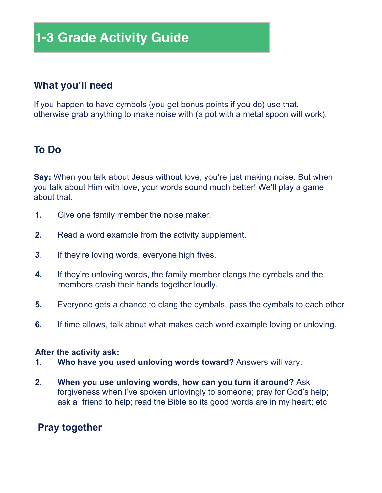# **1-3 Grade Activity Guide**

# **What you'll need**

If you happen to have cymbols (you get bonus points if you do) use that, otherwise grab anything to make noise with (a pot with a metal spoon will work).

# **To Do**

**Say:** When you talk about Jesus without love, you're just making noise. But when you talk about Him with love, your words sound much better! We'll play a game about that.

- **1.** Give one family member the noise maker.
- **2.** Read a word example from the activity supplement.
- **3**. If they're loving words, everyone high fives.
- **4.** If they're unloving words, the family member clangs the cymbals and the members crash their hands together loudly.
- **5.** Everyone gets a chance to clang the cymbals, pass the cymbals to each other
- **6.** If time allows, talk about what makes each word example loving or unloving.

# **After the activity ask:**

- **1. Who have you used unloving words toward?** Answers will vary.
- **2. When you use unloving words, how can you turn it around?** Ask forgiveness when I've spoken unlovingly to someone; pray for God's help; ask a friend to help; read the Bible so its good words are in my heart; etc

# **Pray together**